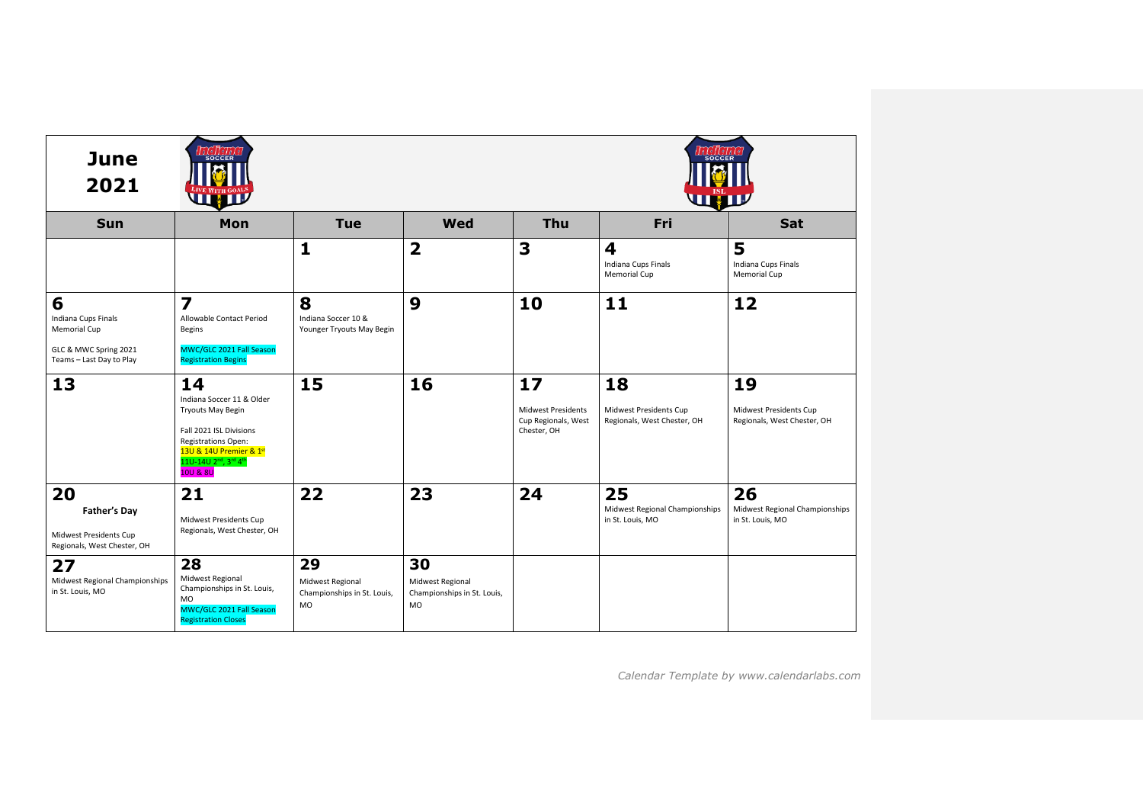| <b>June</b><br>2021                                                                                  | <b>SOCCER</b><br><b>STEATE</b>                                                                                                                                                                                           |                                                             |                                                             | <b>SOCCER</b><br>WWW                                           |                                                             |                                                             |  |
|------------------------------------------------------------------------------------------------------|--------------------------------------------------------------------------------------------------------------------------------------------------------------------------------------------------------------------------|-------------------------------------------------------------|-------------------------------------------------------------|----------------------------------------------------------------|-------------------------------------------------------------|-------------------------------------------------------------|--|
| <b>Sun</b>                                                                                           | Mon                                                                                                                                                                                                                      | <b>Tue</b>                                                  | Wed                                                         | Thu                                                            | Fri                                                         | Sat                                                         |  |
|                                                                                                      |                                                                                                                                                                                                                          | 1                                                           | $\overline{\mathbf{2}}$                                     | 3                                                              | 4<br>Indiana Cups Finals<br>Memorial Cup                    | 5<br>Indiana Cups Finals<br>Memorial Cup                    |  |
| 6<br>Indiana Cups Finals<br><b>Memorial Cup</b><br>GLC & MWC Spring 2021<br>Teams - Last Day to Play | $\overline{\mathbf{z}}$<br>Allowable Contact Period<br>Begins<br>MWC/GLC 2021 Fall Season<br><b>Registration Begins</b>                                                                                                  | 8<br>Indiana Soccer 10 &<br>Younger Tryouts May Begin       | 9                                                           | 10                                                             | 11                                                          | 12                                                          |  |
| 13                                                                                                   | 14<br>Indiana Soccer 11 & Older<br><b>Tryouts May Begin</b><br>Fall 2021 ISL Divisions<br><b>Registrations Open:</b><br>13U & 14U Premier & 1st<br>11U-14U 2 <sup>nd</sup> , 3 <sup>rd</sup> 4 <sup>th</sup><br>10U & 8U | 15                                                          | 16                                                          | 17<br>Midwest Presidents<br>Cup Regionals, West<br>Chester, OH | 18<br>Midwest Presidents Cup<br>Regionals, West Chester, OH | 19<br>Midwest Presidents Cup<br>Regionals, West Chester, OH |  |
| 20<br>Father's Day<br>Midwest Presidents Cup<br>Regionals, West Chester, OH                          | 21<br>Midwest Presidents Cup<br>Regionals, West Chester, OH                                                                                                                                                              | 22                                                          | 23                                                          | 24                                                             | 25<br>Midwest Regional Championships<br>in St. Louis, MO    | 26<br>Midwest Regional Championships<br>in St. Louis, MO    |  |
| 27<br>Midwest Regional Championships<br>in St. Louis, MO                                             | 28<br>Midwest Regional<br>Championships in St. Louis,<br>MO<br>MWC/GLC 2021 Fall Season<br><b>Registration Closes</b>                                                                                                    | 29<br>Midwest Regional<br>Championships in St. Louis,<br>MO | 30<br>Midwest Regional<br>Championships in St. Louis,<br>MO |                                                                |                                                             |                                                             |  |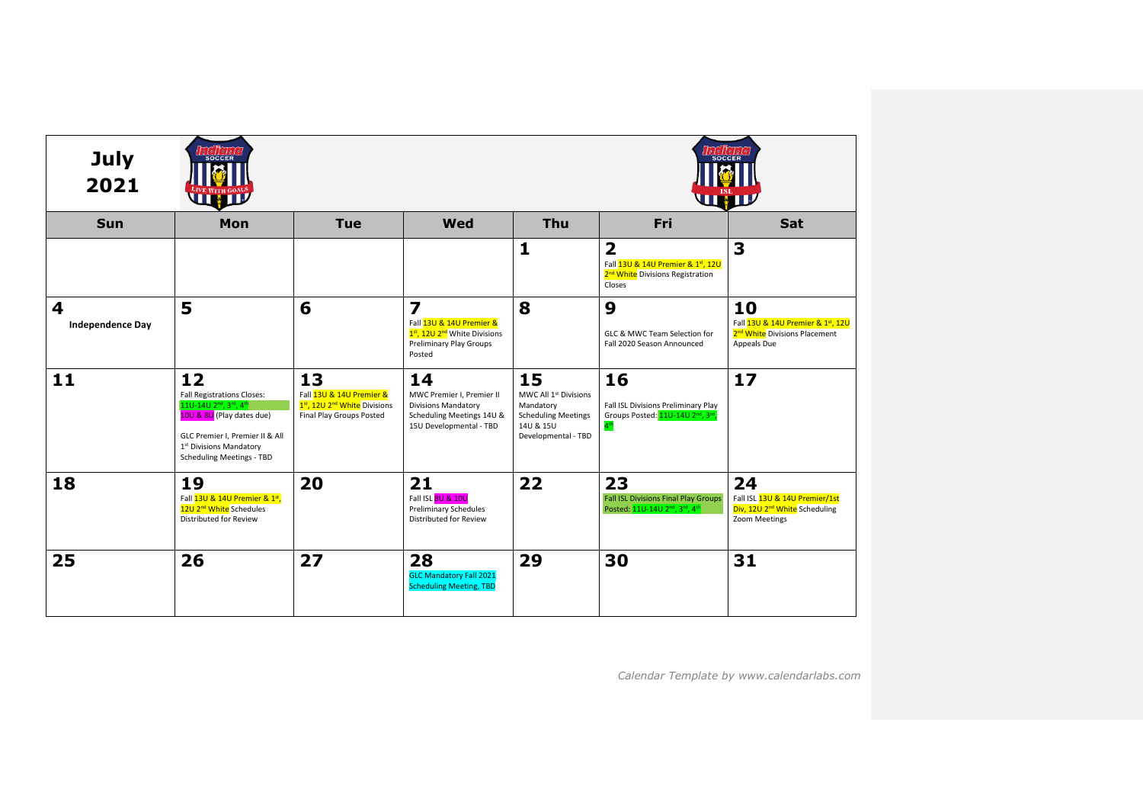| <b>July</b><br>2021          | <b>SOCCER</b><br><b>SOCCER</b><br>LIVE WITH GOALS<br><b>THE REAL PROPERTY</b>                                                                                                                   |                                                                                                        |                                                                                                                                      |                                                                                                                        |                                                                                                                            |                                                                                                     |  |  |
|------------------------------|-------------------------------------------------------------------------------------------------------------------------------------------------------------------------------------------------|--------------------------------------------------------------------------------------------------------|--------------------------------------------------------------------------------------------------------------------------------------|------------------------------------------------------------------------------------------------------------------------|----------------------------------------------------------------------------------------------------------------------------|-----------------------------------------------------------------------------------------------------|--|--|
| <b>Sun</b>                   | Mon                                                                                                                                                                                             | <b>Tue</b>                                                                                             | Wed                                                                                                                                  | <b>Thu</b>                                                                                                             | Fri                                                                                                                        | <b>Sat</b>                                                                                          |  |  |
|                              |                                                                                                                                                                                                 |                                                                                                        |                                                                                                                                      | $\mathbf{1}$                                                                                                           | $\overline{\mathbf{2}}$<br>Fall 13U & 14U Premier & 1st, 12U<br>2 <sup>nd</sup> White Divisions Registration<br>Closes     | 3                                                                                                   |  |  |
| 4<br><b>Independence Day</b> | 5                                                                                                                                                                                               | 6                                                                                                      | $\overline{\mathbf{z}}$<br>Fall 13U & 14U Premier &<br>1st, 12U 2 <sup>nd</sup> White Divisions<br>Preliminary Play Groups<br>Posted | 8                                                                                                                      | 9<br>GLC & MWC Team Selection for<br>Fall 2020 Season Announced                                                            | 10<br>Fall 13U & 14U Premier & 1st, 12U<br>2 <sup>nd</sup> White Divisions Placement<br>Appeals Due |  |  |
| 11                           | 12<br><b>Fall Registrations Closes:</b><br>11U-14U 2nd, 3rd, 4th<br>10U & 8U (Play dates due)<br>GLC Premier I, Premier II & All<br>1st Divisions Mandatory<br><b>Scheduling Meetings - TBD</b> | 13<br>Fall 13U & 14U Premier &<br>1st, 12U 2 <sup>nd</sup> White Divisions<br>Final Play Groups Posted | 14<br>MWC Premier I, Premier II<br><b>Divisions Mandatory</b><br>Scheduling Meetings 14U &<br>15U Developmental - TBD                | 15<br>MWC All 1 <sup>st</sup> Divisions<br>Mandatory<br><b>Scheduling Meetings</b><br>14U & 15U<br>Developmental - TBD | 16<br>Fall ISL Divisions Preliminary Play<br>Groups Posted: 11U-14U 2 <sup>nd</sup> , 3 <sup>rd</sup> ,<br>4 <sup>th</sup> | 17                                                                                                  |  |  |
| 18                           | 19<br>Fall 13U & 14U Premier & 1st,<br>12U 2 <sup>nd</sup> White Schedules<br>Distributed for Review                                                                                            | 20                                                                                                     | 21<br>Fall ISL 8U & 10U<br><b>Preliminary Schedules</b><br>Distributed for Review                                                    | 22                                                                                                                     | 23<br><b>Fall ISL Divisions Final Play Groups</b><br>Posted: 11U-14U 2 <sup>nd</sup> , 3 <sup>rd</sup> , 4 <sup>th</sup>   | 24<br>Fall ISL 13U & 14U Premier/1st<br>Div, 12U 2 <sup>nd</sup> White Scheduling<br>Zoom Meetings  |  |  |
| 25                           | 26                                                                                                                                                                                              | 27                                                                                                     | 28<br><b>GLC Mandatory Fall 2021</b><br><b>Scheduling Meeting, TBD</b>                                                               | 29                                                                                                                     | 30                                                                                                                         | 31                                                                                                  |  |  |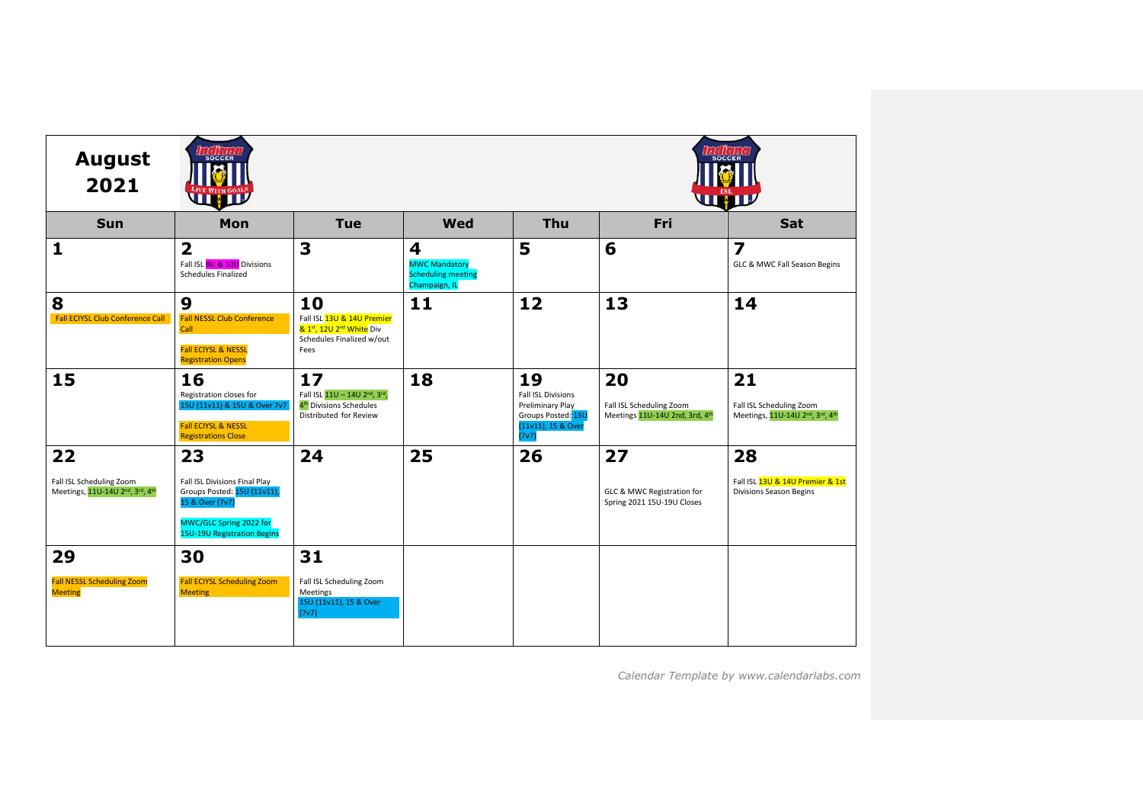| <b>August</b><br>2021                                                                             | <b>SOCCER</b><br>WHIT                                                                                                                     |                                                                                                               |                                                                         |                                                                                                          |                                                                  | <b>SOCCER</b><br>WW                                                                                     |
|---------------------------------------------------------------------------------------------------|-------------------------------------------------------------------------------------------------------------------------------------------|---------------------------------------------------------------------------------------------------------------|-------------------------------------------------------------------------|----------------------------------------------------------------------------------------------------------|------------------------------------------------------------------|---------------------------------------------------------------------------------------------------------|
| <b>Sun</b>                                                                                        | Mon                                                                                                                                       | <b>Tue</b>                                                                                                    | <b>Wed</b>                                                              | <b>Thu</b>                                                                                               | <b>Fri</b>                                                       | Sat                                                                                                     |
| 1                                                                                                 | $\overline{\mathbf{2}}$<br>Fall ISL 8U & 10U Divisions<br><b>Schedules Finalized</b>                                                      | 3                                                                                                             | 4<br><b>MWC Mandatory</b><br><b>Scheduling meeting</b><br>Champaign, IL | 5                                                                                                        | 6                                                                | $\overline{\mathbf{z}}$<br>GLC & MWC Fall Season Begins                                                 |
| 8<br>Fall ECIYSL Club Conference Call                                                             | 9<br><b>Fall NESSL Club Conference</b><br><b>Call</b><br><b>Fall ECIYSL &amp; NESSL</b><br><b>Registration Opens</b>                      | 10<br>Fall ISL 13U & 14U Premier<br>& 1st, 12U 2 <sup>nd</sup> White Div<br>Schedules Finalized w/out<br>Fees | 11                                                                      | 12                                                                                                       | 13                                                               | 14                                                                                                      |
| 15                                                                                                | 16<br>Registration closes for<br>15U (11v11) & 15U & Over 7v7<br>Fall ECIYSL & NESSL<br><b>Registrations Close</b>                        | 17<br>Fall ISL 11U - 14U 2nd, 3rd,<br>4 <sup>th</sup> Divisions Schedules<br>Distributed for Review           | 18                                                                      | 19<br><b>Fall ISL Divisions</b><br>Preliminary Play<br>Groups Posted: 15U<br>(11v11), 15 & Over<br>(7v7) | 20<br>Fall ISL Scheduling Zoom<br>Meetings 11U-14U 2nd, 3rd, 4th | 21<br>Fall ISL Scheduling Zoom<br>Meetings, 11U-14U 2 <sup>nd</sup> , 3 <sup>rd</sup> , 4 <sup>th</sup> |
| 22                                                                                                | 23                                                                                                                                        | 24                                                                                                            | 25                                                                      | 26                                                                                                       | 27                                                               | 28                                                                                                      |
| Fall ISL Scheduling Zoom<br>Meetings, 11U-14U 2 <sup>nd</sup> , 3 <sup>rd</sup> , 4 <sup>th</sup> | Fall ISL Divisions Final Play<br>Groups Posted: 15U (11v11),<br>15 & Over (7v7)<br>MWC/GLC Spring 2022 for<br>15U-19U Registration Begins |                                                                                                               |                                                                         |                                                                                                          | GLC & MWC Registration for<br>Spring 2021 15U-19U Closes         | Fall ISL 13U & 14U Premier & 1st<br>Divisions Season Begins                                             |
| 29                                                                                                | 30                                                                                                                                        | 31                                                                                                            |                                                                         |                                                                                                          |                                                                  |                                                                                                         |
| <b>Fall NESSL Scheduling Zoom</b><br><b>Meeting</b>                                               | <b>Fall ECIYSL Scheduling Zoom</b><br><b>Meeting</b>                                                                                      | Fall ISL Scheduling Zoom<br>Meetings<br>15U (11v11), 15 & Over<br>(7v7)                                       |                                                                         |                                                                                                          |                                                                  |                                                                                                         |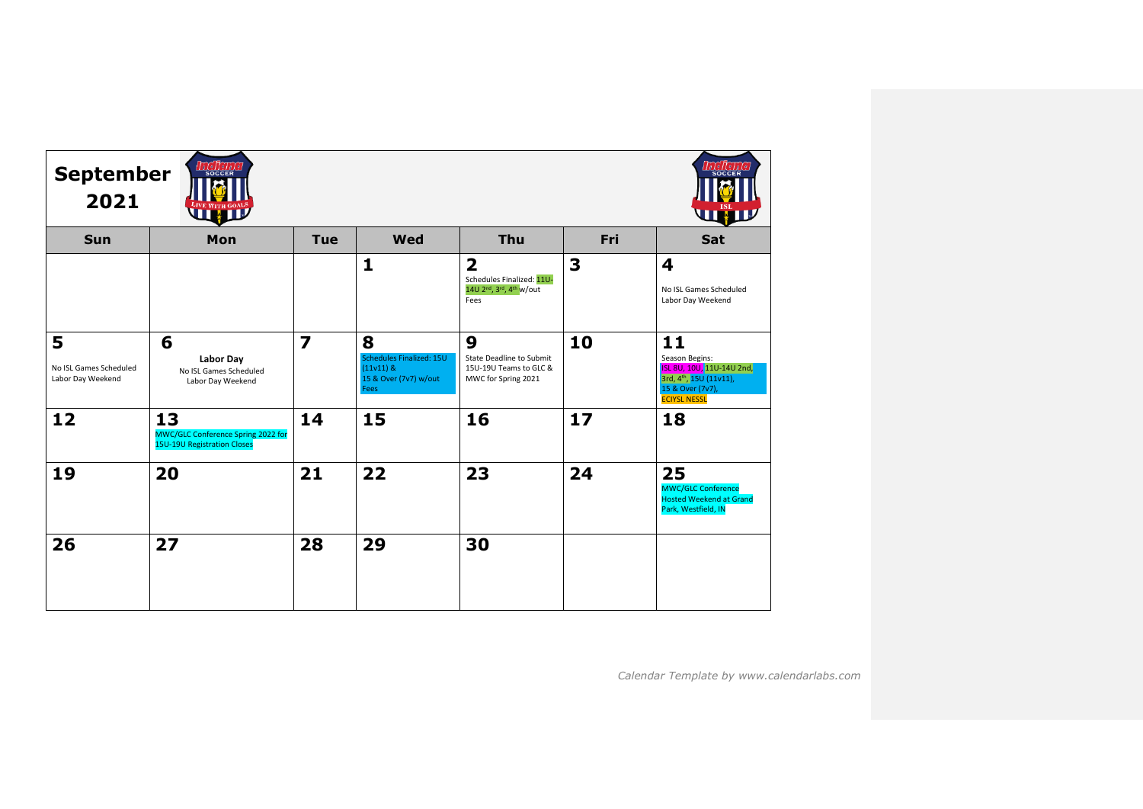| <b>LEGICIAC</b><br><b>September</b><br><b>SOCCER</b><br>2021<br>LIVE WITH GOALS<br>WHI |                                                                                |                         |                                                                               |                                                                                                                               |     |                                                                                                                        |  |  |
|----------------------------------------------------------------------------------------|--------------------------------------------------------------------------------|-------------------------|-------------------------------------------------------------------------------|-------------------------------------------------------------------------------------------------------------------------------|-----|------------------------------------------------------------------------------------------------------------------------|--|--|
| <b>Sun</b>                                                                             | Mon                                                                            | <b>Tue</b>              | <b>Wed</b>                                                                    | Thu                                                                                                                           | Fri | <b>Sat</b>                                                                                                             |  |  |
|                                                                                        |                                                                                |                         | $\mathbf{1}$                                                                  | $\overline{\mathbf{2}}$<br>Schedules Finalized: 11U-<br>14U 2 <sup>nd</sup> , 3 <sup>rd</sup> , 4 <sup>th</sup> w/out<br>Fees | 3   | 4<br>No ISL Games Scheduled<br>Labor Day Weekend                                                                       |  |  |
| 5<br>No ISL Games Scheduled<br>Labor Day Weekend                                       | 6<br><b>Labor Day</b><br>No ISL Games Scheduled<br>Labor Day Weekend           | $\overline{\mathbf{z}}$ | 8<br>Schedules Finalized: 15U<br>$(11v11)$ &<br>15 & Over (7v7) w/out<br>Fees | 9<br><b>State Deadline to Submit</b><br>15U-19U Teams to GLC &<br>MWC for Spring 2021                                         | 10  | 11<br>Season Begins:<br>ISL 8U, 10U, 11U-14U 2nd,<br>3rd, 4th, 15U (11v11),<br>15 & Over (7v7),<br><b>ECIYSL NESSL</b> |  |  |
| 12                                                                                     | 13<br>MWC/GLC Conference Spring 2022 for<br><b>15U-19U Registration Closes</b> | 14                      | 15                                                                            | 16                                                                                                                            | 17  | 18                                                                                                                     |  |  |
| 19                                                                                     | 20                                                                             | 21                      | 22                                                                            | 23                                                                                                                            | 24  | 25<br><b>MWC/GLC Conference</b><br><b>Hosted Weekend at Grand</b><br>Park, Westfield, IN                               |  |  |
| 26                                                                                     | 27                                                                             | 28                      | 29                                                                            | 30                                                                                                                            |     |                                                                                                                        |  |  |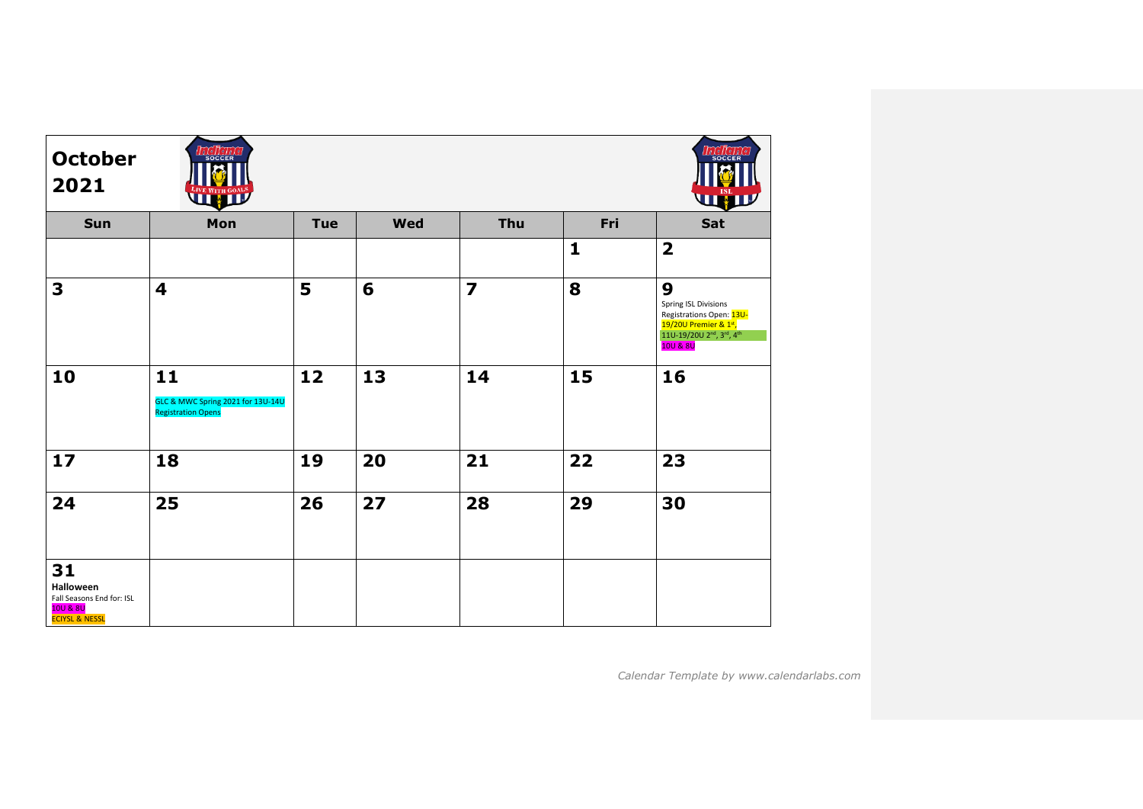| <b>October</b><br>2021                                                                       | $\int_{B} \int_{0}^{1} e \int_{1}^{1} e \int_{0}^{1} f$<br><b>SOCCER</b><br>WE DESCRIPTIONS |            |     |                |              | <b>SOCCE</b><br>WW                                                                                                     |
|----------------------------------------------------------------------------------------------|---------------------------------------------------------------------------------------------|------------|-----|----------------|--------------|------------------------------------------------------------------------------------------------------------------------|
| Sun                                                                                          | Mon                                                                                         | <b>Tue</b> | Wed | Thu            | Fri          | Sat                                                                                                                    |
|                                                                                              |                                                                                             |            |     |                | $\mathbf{1}$ | $\overline{\mathbf{2}}$                                                                                                |
| 3                                                                                            | $\overline{\mathbf{4}}$                                                                     | 5          | 6   | $\overline{z}$ | 8            | 9<br>Spring ISL Divisions<br>Registrations Open: 13U-<br>19/20U Premier & 1st,<br>11U-19/20U 2nd, 3rd, 4th<br>10U & 8U |
| 10                                                                                           | 11<br>GLC & MWC Spring 2021 for 13U-14U<br><b>Registration Opens</b>                        | 12         | 13  | 14             | 15           | 16                                                                                                                     |
| 17                                                                                           | 18                                                                                          | 19         | 20  | 21             | 22           | 23                                                                                                                     |
| 24                                                                                           | 25                                                                                          | 26         | 27  | 28             | 29           | 30                                                                                                                     |
| 31<br><b>Halloween</b><br>Fall Seasons End for: ISL<br>10U & 8U<br><b>ECIYSL &amp; NESSL</b> |                                                                                             |            |     |                |              |                                                                                                                        |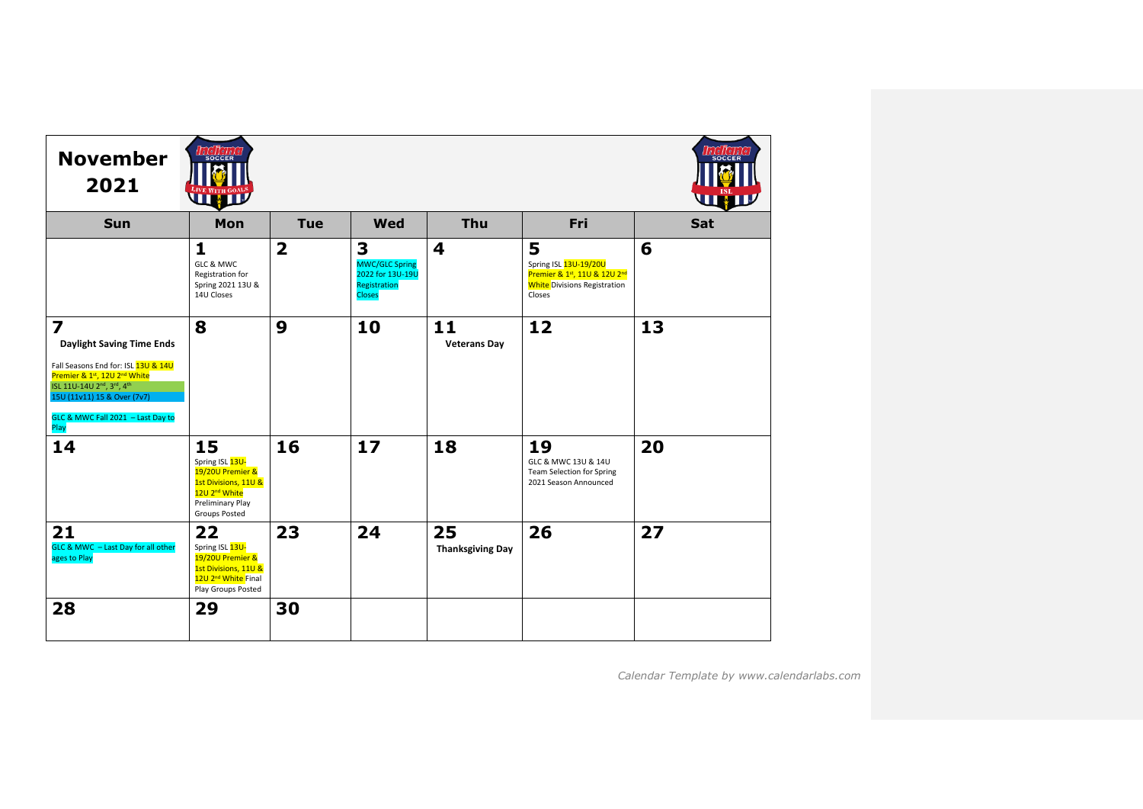| <b>November</b><br>2021                                                                                                                                                                                                                                 | <b>SOCCER</b><br><b>UNIV</b>                                                                                                               |                         |                                                                                 |                               |                                                                                                                         |     |
|---------------------------------------------------------------------------------------------------------------------------------------------------------------------------------------------------------------------------------------------------------|--------------------------------------------------------------------------------------------------------------------------------------------|-------------------------|---------------------------------------------------------------------------------|-------------------------------|-------------------------------------------------------------------------------------------------------------------------|-----|
| Sun                                                                                                                                                                                                                                                     | Mon                                                                                                                                        | <b>Tue</b>              | <b>Wed</b>                                                                      | Thu                           | Fri                                                                                                                     | Sat |
|                                                                                                                                                                                                                                                         | 1<br>GLC & MWC<br>Registration for<br>Spring 2021 13U &<br>14U Closes                                                                      | $\overline{\mathbf{2}}$ | 3<br><b>MWC/GLC Spring</b><br>2022 for 13U-19U<br>Registration<br><b>Closes</b> | 4                             | 5<br>Spring ISL 13U-19/20U<br>Premier & 1st, 11U & 12U 2 <sup>nd</sup><br><b>White Divisions Registration</b><br>Closes | 6   |
| $\overline{\mathbf{z}}$<br><b>Daylight Saving Time Ends</b><br>Fall Seasons End for: ISL 13U & 14U<br>Premier & 1st, 12U 2 <sup>nd</sup> White<br>ISL 11U-14U 2nd, 3rd, 4th<br>15U (11v11) 15 & Over (7v7)<br>GLC & MWC Fall 2021 - Last Day to<br>Play | 8                                                                                                                                          | 9                       | 10                                                                              | 11<br><b>Veterans Day</b>     | 12                                                                                                                      | 13  |
| 14                                                                                                                                                                                                                                                      | 15<br>Spring ISL 13U-<br>19/20U Premier &<br>1st Divisions, 11U &<br>12U 2 <sup>nd</sup> White<br>Preliminary Play<br><b>Groups Posted</b> | 16                      | 17                                                                              | 18                            | 19<br>GLC & MWC 13U & 14U<br><b>Team Selection for Spring</b><br>2021 Season Announced                                  | 20  |
| 21<br>GLC & MWC - Last Day for all other<br>ages to Play                                                                                                                                                                                                | 22<br>Spring ISL 13U-<br>19/20U Premier &<br>1st Divisions, 11U &<br>12U 2 <sup>nd</sup> White Final<br>Play Groups Posted                 | 23                      | 24                                                                              | 25<br><b>Thanksgiving Day</b> | 26                                                                                                                      | 27  |
| 28                                                                                                                                                                                                                                                      | 29                                                                                                                                         | 30                      |                                                                                 |                               |                                                                                                                         |     |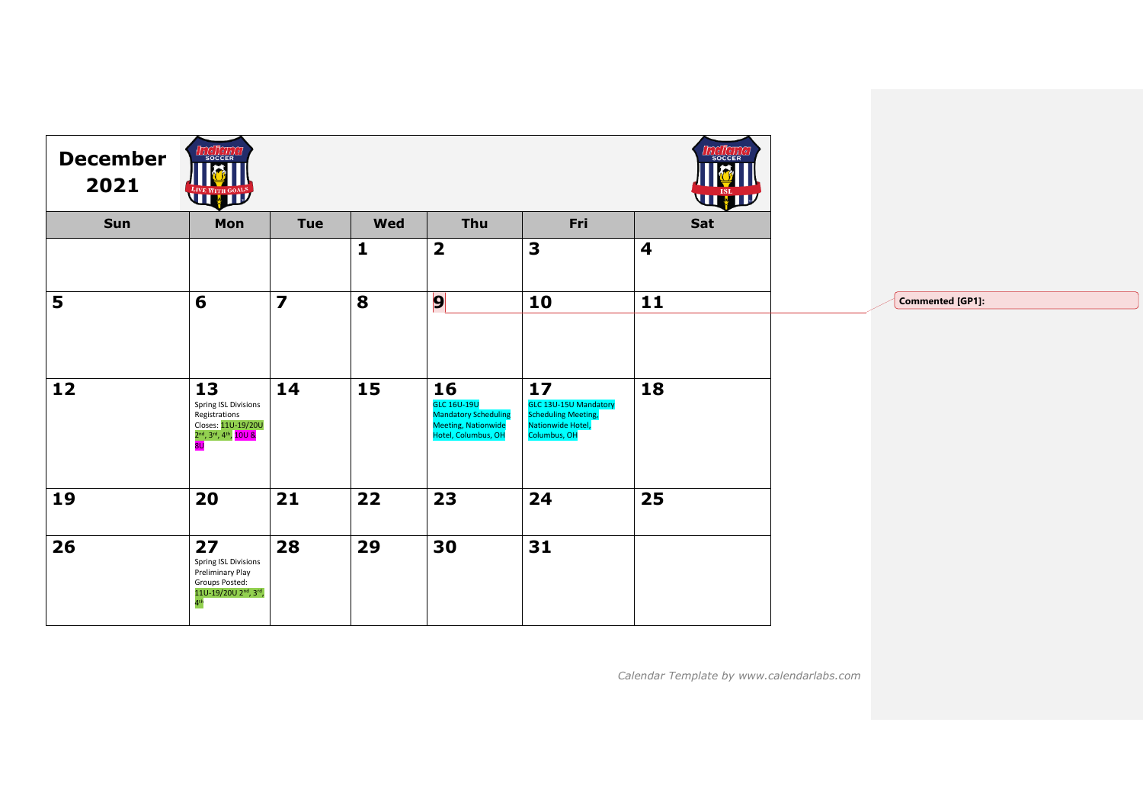| <b>December</b><br>2021 | <b>LEGER</b><br><b>THE WITH COALS</b>                                                                                                              |                |              |                                                                                                       |                                                                                                       | <i>alelle</i> .<br>SOCCER<br>WW |
|-------------------------|----------------------------------------------------------------------------------------------------------------------------------------------------|----------------|--------------|-------------------------------------------------------------------------------------------------------|-------------------------------------------------------------------------------------------------------|---------------------------------|
| Sun                     | Mon                                                                                                                                                | <b>Tue</b>     | <b>Wed</b>   | Thu                                                                                                   | Fri                                                                                                   | Sat                             |
|                         |                                                                                                                                                    |                | $\mathbf{1}$ | $\overline{\mathbf{2}}$                                                                               | 3                                                                                                     | $\overline{\mathbf{4}}$         |
| 5                       | 6                                                                                                                                                  | $\overline{z}$ | 8            | $\overline{9}$                                                                                        | 10                                                                                                    | 11                              |
| 12                      | 13<br>Spring ISL Divisions<br>Registrations<br>Closes: 11U-19/20U<br>2 <sup>nd</sup> , 3 <sup>rd</sup> , 4 <sup>th</sup> , 10U &<br>8 <sub>U</sub> | 14             | 15           | 16<br><b>GLC 16U-19U</b><br><b>Mandatory Scheduling</b><br>Meeting, Nationwide<br>Hotel, Columbus, OH | 17<br><b>GLC 13U-15U Mandatory</b><br><b>Scheduling Meeting,</b><br>Nationwide Hotel,<br>Columbus, OH | 18                              |
| 19                      | 20                                                                                                                                                 | 21             | 22           | 23                                                                                                    | 24                                                                                                    | 25                              |
| 26                      | 27<br>Spring ISL Divisions<br>Preliminary Play<br>Groups Posted:<br>11U-19/20U 2 <sup>nd</sup> , 3rd,<br>4 <sup>th</sup>                           | 28             | 29           | 30                                                                                                    | 31                                                                                                    |                                 |

**Commented [GP1]:**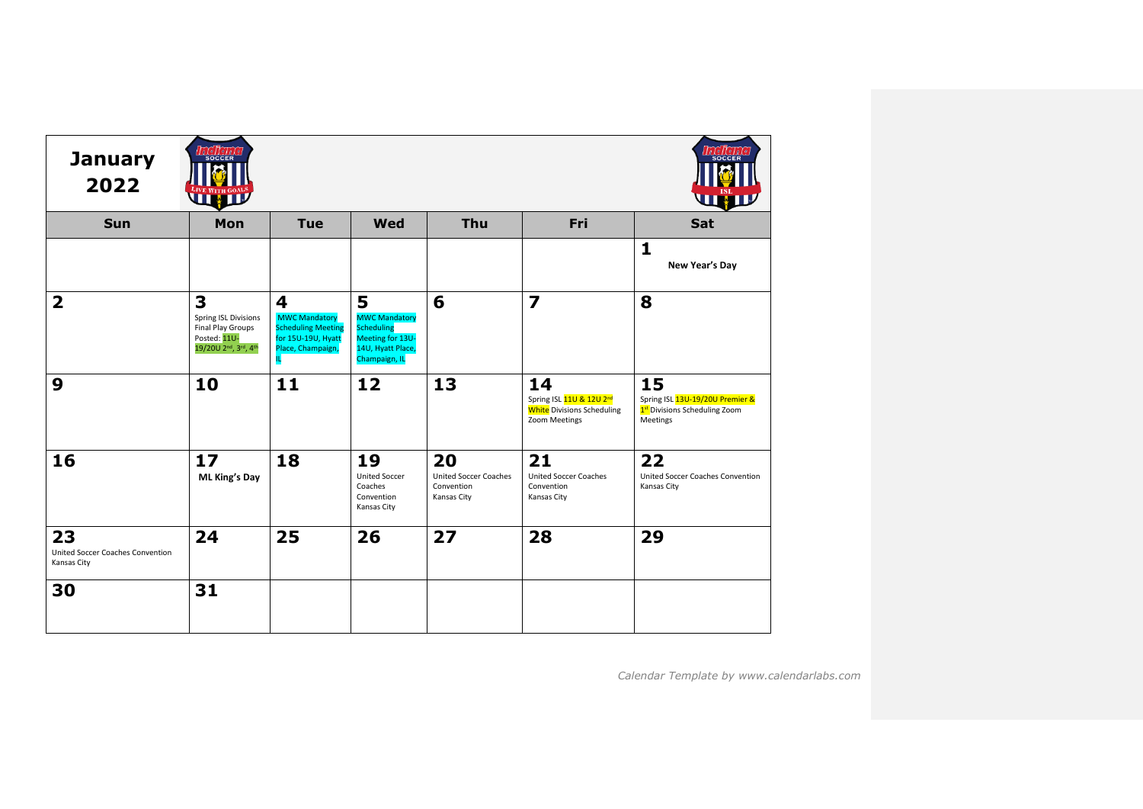| <b>January</b><br>2022                                | <b>SOCCER</b><br><b>LIX J.</b>                                                                                               |                                                                                                         |                                                                                                          |                                                          |                                                                                                  | <b>SOCCEF</b><br><b>UHIL</b>                                                       |
|-------------------------------------------------------|------------------------------------------------------------------------------------------------------------------------------|---------------------------------------------------------------------------------------------------------|----------------------------------------------------------------------------------------------------------|----------------------------------------------------------|--------------------------------------------------------------------------------------------------|------------------------------------------------------------------------------------|
| Sun                                                   | Mon                                                                                                                          | <b>Tue</b>                                                                                              | Wed                                                                                                      | Thu                                                      | Fri                                                                                              | Sat                                                                                |
|                                                       |                                                                                                                              |                                                                                                         |                                                                                                          |                                                          |                                                                                                  | $\mathbf{1}$<br>New Year's Day                                                     |
| $\overline{2}$                                        | 3<br>Spring ISL Divisions<br>Final Play Groups<br>Posted: 11U-<br>19/20U 2 <sup>nd</sup> , 3 <sup>rd</sup> , 4 <sup>th</sup> | 4<br><b>MWC Mandatory</b><br><b>Scheduling Meeting</b><br>for 15U-19U, Hyatt<br>Place, Champaign,<br>п. | 5<br><b>MWC Mandatory</b><br><b>Scheduling</b><br>Meeting for 13U-<br>14U, Hyatt Place,<br>Champaign, IL | 6                                                        | $\overline{\mathbf{z}}$                                                                          | 8                                                                                  |
| 9                                                     | 10                                                                                                                           | 11                                                                                                      | 12                                                                                                       | 13                                                       | 14<br>Spring ISL 11U & 12U 2 <sup>nd</sup><br><b>White</b> Divisions Scheduling<br>Zoom Meetings | 15<br>Spring ISL 13U-19/20U Premier &<br>1st Divisions Scheduling Zoom<br>Meetings |
| 16                                                    | 17 <sub>2</sub><br><b>ML King's Day</b>                                                                                      | 18                                                                                                      | 19<br><b>United Soccer</b><br>Coaches<br>Convention<br>Kansas City                                       | 20<br>United Soccer Coaches<br>Convention<br>Kansas City | 21<br><b>United Soccer Coaches</b><br>Convention<br>Kansas City                                  | 22<br>United Soccer Coaches Convention<br>Kansas City                              |
| 23<br>United Soccer Coaches Convention<br>Kansas City | 24                                                                                                                           | 25                                                                                                      | 26                                                                                                       | 27                                                       | 28                                                                                               | 29                                                                                 |
| 30                                                    | 31                                                                                                                           |                                                                                                         |                                                                                                          |                                                          |                                                                                                  |                                                                                    |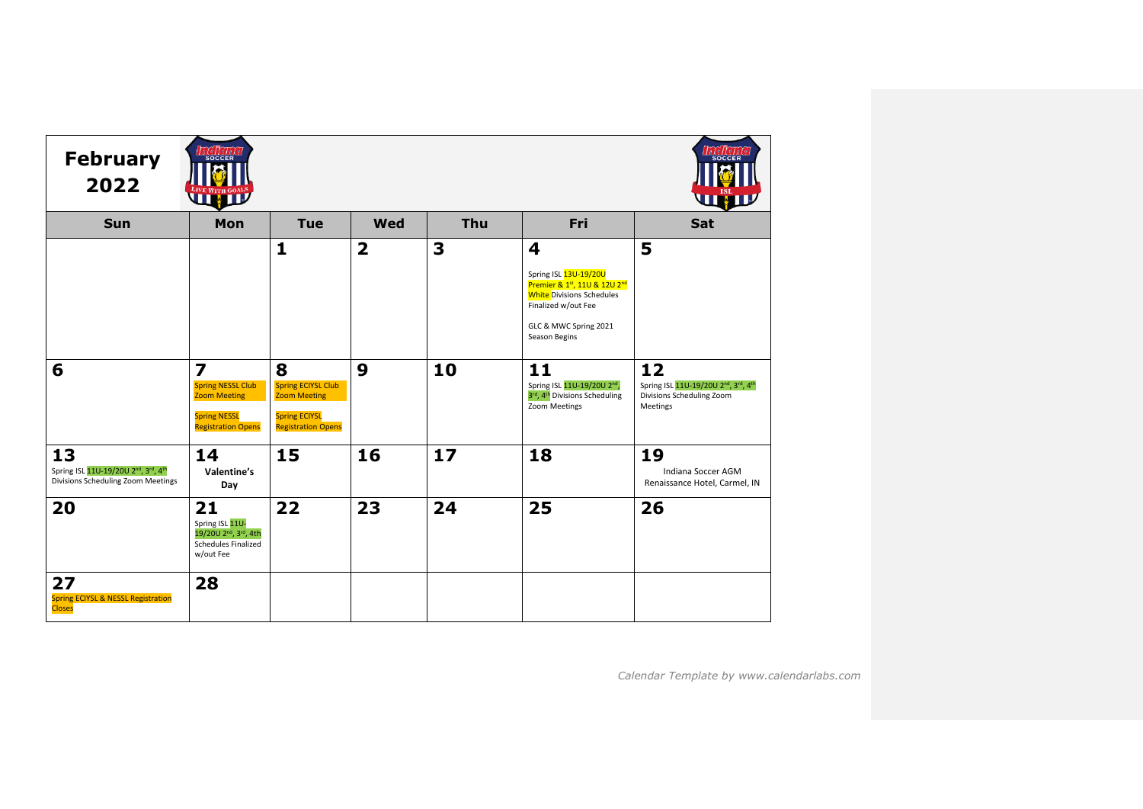| <b>February</b><br>2022                                                         | <b>SOCCER</b><br><b>UHIL</b>                                                                                                   |                                                                                                            |                |     |                                                                                                                                                                 | <b>THE ALL</b>                                                                                                           |
|---------------------------------------------------------------------------------|--------------------------------------------------------------------------------------------------------------------------------|------------------------------------------------------------------------------------------------------------|----------------|-----|-----------------------------------------------------------------------------------------------------------------------------------------------------------------|--------------------------------------------------------------------------------------------------------------------------|
| <b>Sun</b>                                                                      | Mon                                                                                                                            | <b>Tue</b>                                                                                                 | Wed            | Thu | Fri                                                                                                                                                             | Sat                                                                                                                      |
|                                                                                 |                                                                                                                                | $\mathbf{1}$                                                                                               | $\overline{2}$ | 3   | 4<br>Spring ISL 13U-19/20U<br>Premier & 1st, 11U & 12U 2nd<br><b>White</b> Divisions Schedules<br>Finalized w/out Fee<br>GLC & MWC Spring 2021<br>Season Begins | 5                                                                                                                        |
| 6                                                                               | $\overline{\mathbf{z}}$<br><b>Spring NESSL Club</b><br><b>Zoom Meeting</b><br><b>Spring NESSL</b><br><b>Registration Opens</b> | 8<br><b>Spring ECIYSL Club</b><br><b>Zoom Meeting</b><br><b>Spring ECIYSL</b><br><b>Registration Opens</b> | 9              | 10  | 11<br>Spring ISL 11U-19/20U 2nd,<br>3rd, 4 <sup>th</sup> Divisions Scheduling<br>Zoom Meetings                                                                  | 12<br>Spring ISL 11U-19/20U 2 <sup>nd</sup> , 3 <sup>rd</sup> , 4 <sup>th</sup><br>Divisions Scheduling Zoom<br>Meetings |
| 13<br>Spring ISL 11U-19/20U 2nd, 3rd, 4th<br>Divisions Scheduling Zoom Meetings | 14<br>Valentine's<br>Day                                                                                                       | 15                                                                                                         | 16             | 17  | 18                                                                                                                                                              | 19<br>Indiana Soccer AGM<br>Renaissance Hotel, Carmel, IN                                                                |
| 20                                                                              | 21<br>Spring ISL 11U-<br>19/20U 2 <sup>nd</sup> , 3 <sup>rd</sup> , 4th<br><b>Schedules Finalized</b><br>w/out Fee             | 22                                                                                                         | 23             | 24  | 25                                                                                                                                                              | 26                                                                                                                       |
| 27<br><b>Spring ECIYSL &amp; NESSL Registration</b><br><b>Closes</b>            | 28                                                                                                                             |                                                                                                            |                |     |                                                                                                                                                                 |                                                                                                                          |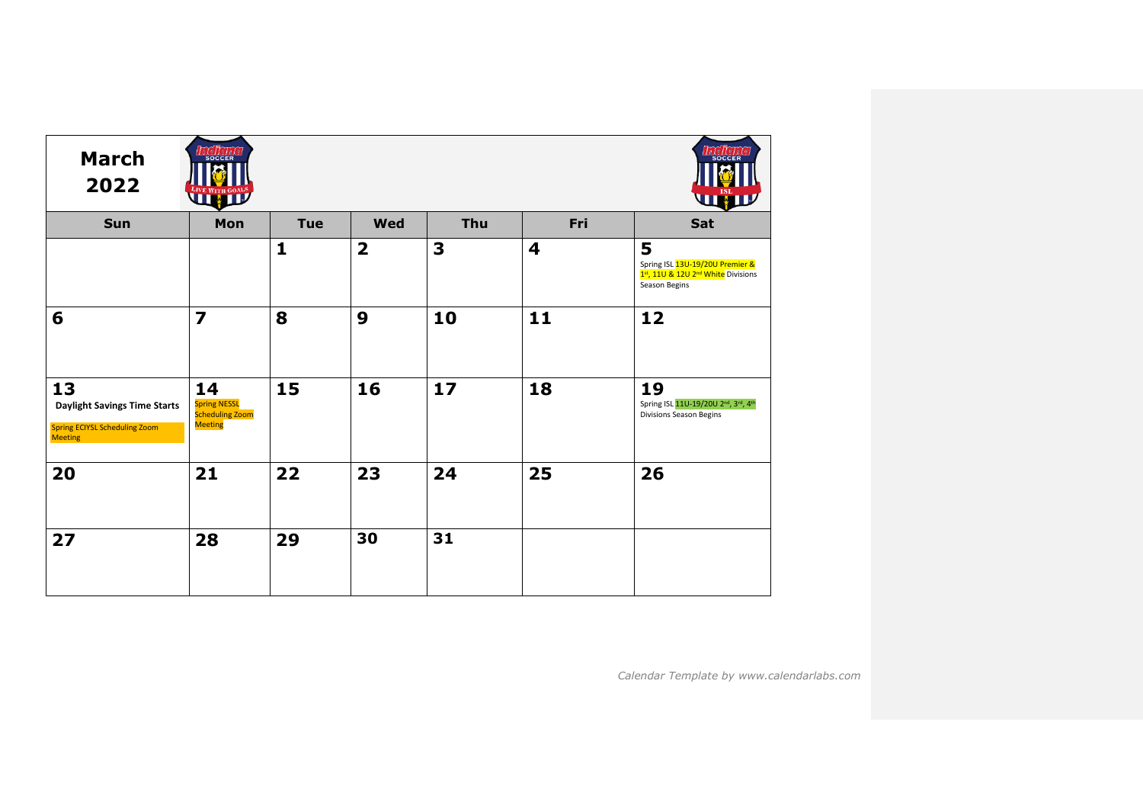| <b>March</b><br>2022                                                                                | SOCCER<br>LIVE WITH GOALS                                             |              |                         |     |                         | <b>SOCCE</b><br><b>VII XI</b>                                                                           |
|-----------------------------------------------------------------------------------------------------|-----------------------------------------------------------------------|--------------|-------------------------|-----|-------------------------|---------------------------------------------------------------------------------------------------------|
| Sun                                                                                                 | Mon                                                                   | <b>Tue</b>   | <b>Wed</b>              | Thu | Fri                     | Sat                                                                                                     |
|                                                                                                     |                                                                       | $\mathbf{1}$ | $\overline{\mathbf{2}}$ | 3   | $\overline{\mathbf{4}}$ | 5<br>Spring ISL 13U-19/20U Premier &<br>1st, 11U & 12U 2 <sup>nd</sup> White Divisions<br>Season Begins |
| 6                                                                                                   | $\overline{\mathbf{z}}$                                               | 8            | $\boldsymbol{9}$        | 10  | 11                      | 12                                                                                                      |
| 13<br><b>Daylight Savings Time Starts</b><br><b>Spring ECIYSL Scheduling Zoom</b><br><b>Meeting</b> | 14<br><b>Spring NESSL</b><br><b>Scheduling Zoom</b><br><b>Meeting</b> | 15           | 16                      | 17  | 18                      | 19<br>Spring ISL 11U-19/20U 2nd, 3rd, 4th<br><b>Divisions Season Begins</b>                             |
| 20                                                                                                  | 21                                                                    | 22           | 23                      | 24  | 25                      | 26                                                                                                      |
| 27                                                                                                  | 28                                                                    | 29           | 30                      | 31  |                         |                                                                                                         |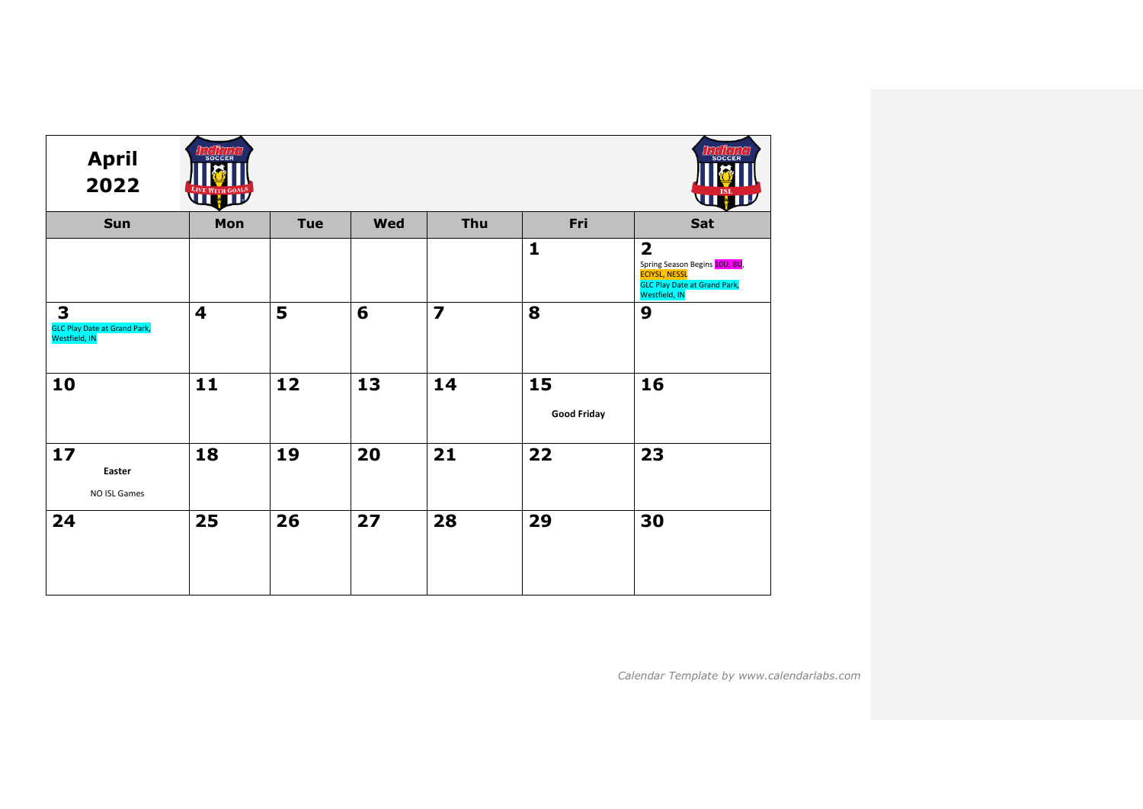| <b>April</b><br>2022                                      | SOCCER<br>LIVE WITH GOALS |            |            |                |                          | <b>SOCCE</b><br>WW                                                                                                                       |
|-----------------------------------------------------------|---------------------------|------------|------------|----------------|--------------------------|------------------------------------------------------------------------------------------------------------------------------------------|
| Sun                                                       | Mon                       | <b>Tue</b> | <b>Wed</b> | Thu            | Fri                      | Sat                                                                                                                                      |
|                                                           |                           |            |            |                | $\mathbf{1}$             | $\overline{\mathbf{2}}$<br>Spring Season Begins 10U, 8U,<br><b>ECIYSL, NESSL</b><br><b>GLC Play Date at Grand Park,</b><br>Westfield, IN |
| 3<br><b>GLC Play Date at Grand Park,</b><br>Westfield, IN | $\overline{\mathbf{4}}$   | 5          | 6          | $\overline{z}$ | 8                        | 9                                                                                                                                        |
| 10                                                        | 11                        | 12         | 13         | 14             | 15<br><b>Good Friday</b> | 16                                                                                                                                       |
| 17<br>Easter<br>NO ISL Games                              | 18                        | 19         | 20         | 21             | 22                       | 23                                                                                                                                       |
| 24                                                        | 25                        | 26         | 27         | 28             | 29                       | 30                                                                                                                                       |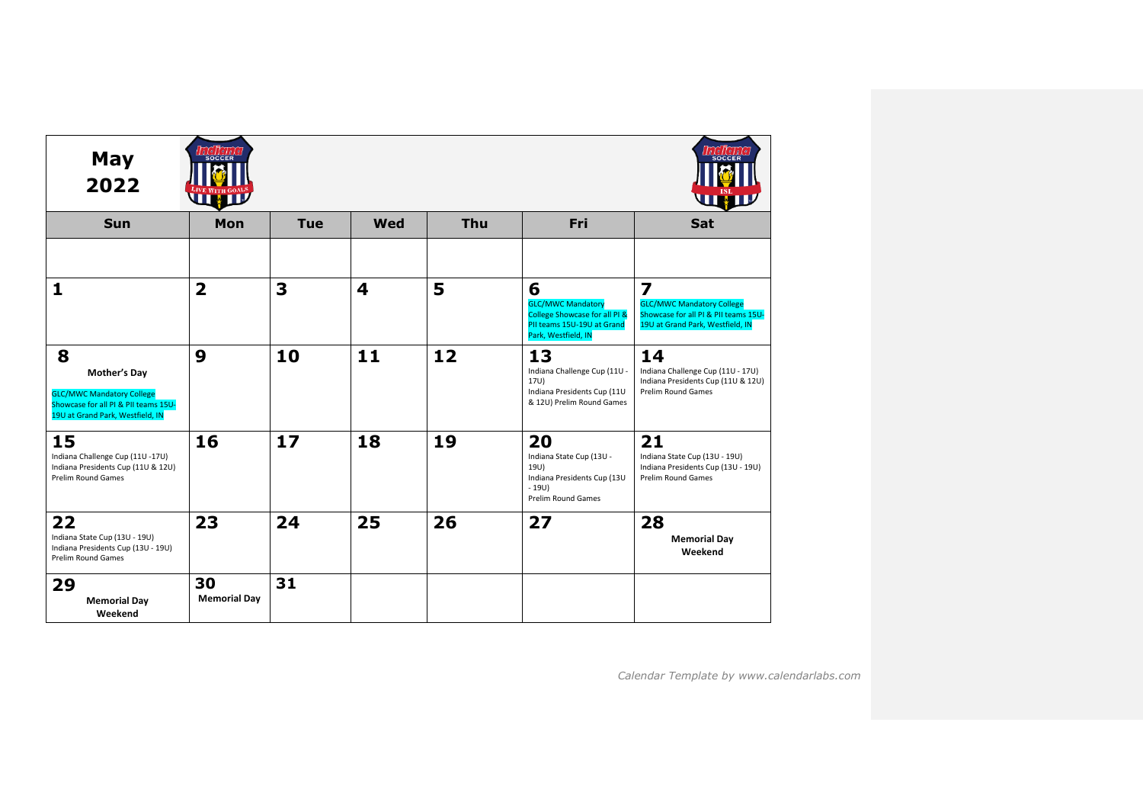| May<br>2022                                                                                                                       | SOCCER<br>ЦU              |            |                         |     |                                                                                                                     |                                                                                                                                         |
|-----------------------------------------------------------------------------------------------------------------------------------|---------------------------|------------|-------------------------|-----|---------------------------------------------------------------------------------------------------------------------|-----------------------------------------------------------------------------------------------------------------------------------------|
| <b>Sun</b>                                                                                                                        | Mon                       | <b>Tue</b> | Wed                     | Thu | Fri                                                                                                                 | Sat                                                                                                                                     |
|                                                                                                                                   |                           |            |                         |     |                                                                                                                     |                                                                                                                                         |
| $\mathbf{1}$                                                                                                                      | $\overline{\mathbf{2}}$   | 3          | $\overline{\mathbf{4}}$ | 5   | 6<br><b>GLC/MWC Mandatory</b><br>College Showcase for all PI &<br>PII teams 15U-19U at Grand<br>Park, Westfield, IN | $\overline{\mathbf{z}}$<br><b>GLC/MWC Mandatory College</b><br>Showcase for all PI & PII teams 15U-<br>19U at Grand Park, Westfield, IN |
| 8<br>Mother's Day<br><b>GLC/MWC Mandatory College</b><br>Showcase for all PI & PII teams 15U-<br>19U at Grand Park, Westfield, IN | 9                         | 10         | 11                      | 12  | 13<br>Indiana Challenge Cup (11U -<br>17U)<br>Indiana Presidents Cup (11U<br>& 12U) Prelim Round Games              | 14<br>Indiana Challenge Cup (11U - 17U)<br>Indiana Presidents Cup (11U & 12U)<br><b>Prelim Round Games</b>                              |
| 15<br>Indiana Challenge Cup (11U -17U)<br>Indiana Presidents Cup (11U & 12U)<br><b>Prelim Round Games</b>                         | 16                        | 17         | 18                      | 19  | 20<br>Indiana State Cup (13U -<br>19U)<br>Indiana Presidents Cup (13U<br>$-19U$<br><b>Prelim Round Games</b>        | 21<br>Indiana State Cup (13U - 19U)<br>Indiana Presidents Cup (13U - 19U)<br><b>Prelim Round Games</b>                                  |
| 22<br>Indiana State Cup (13U - 19U)<br>Indiana Presidents Cup (13U - 19U)<br>Prelim Round Games                                   | 23                        | 24         | 25                      | 26  | 27                                                                                                                  | 28<br><b>Memorial Day</b><br>Weekend                                                                                                    |
| 29<br><b>Memorial Day</b><br>Weekend                                                                                              | 30<br><b>Memorial Day</b> | 31         |                         |     |                                                                                                                     |                                                                                                                                         |